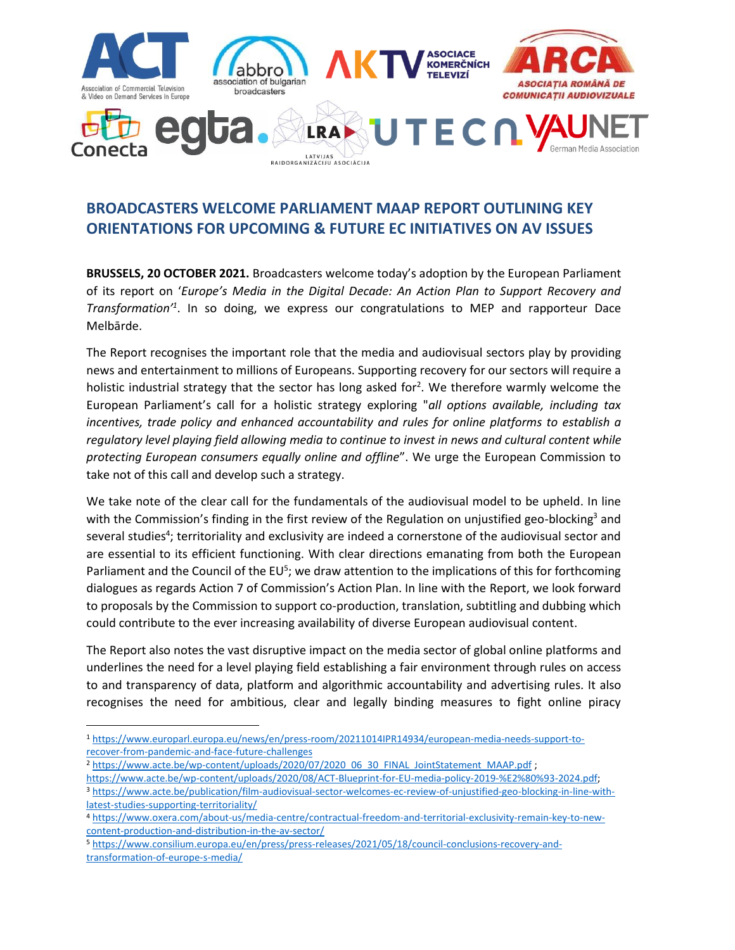

# **BROADCASTERS WELCOME PARLIAMENT MAAP REPORT OUTLINING KEY ORIENTATIONS FOR UPCOMING & FUTURE EC INITIATIVES ON AV ISSUES**

**BRUSSELS, 20 OCTOBER 2021.** Broadcasters welcome today's adoption by the European Parliament of its report on '*Europe's Media in the Digital Decade: An Action Plan to Support Recovery and Transformation'<sup>1</sup>* . In so doing, we express our congratulations to MEP and rapporteur Dace Melbārde.

The Report recognises the important role that the media and audiovisual sectors play by providing news and entertainment to millions of Europeans. Supporting recovery for our sectors will require a holistic industrial strategy that the sector has long asked for<sup>2</sup>. We therefore warmly welcome the European Parliament's call for a holistic strategy exploring "*all options available, including tax incentives, trade policy and enhanced accountability and rules for online platforms to establish a regulatory level playing field allowing media to continue to invest in news and cultural content while protecting European consumers equally online and offline*". We urge the European Commission to take not of this call and develop such a strategy.

We take note of the clear call for the fundamentals of the audiovisual model to be upheld. In line with the Commission's finding in the first review of the Regulation on unjustified geo-blocking<sup>3</sup> and several studies<sup>4</sup>; territoriality and exclusivity are indeed a cornerstone of the audiovisual sector and are essential to its efficient functioning. With clear directions emanating from both the European Parliament and the Council of the EU<sup>5</sup>; we draw attention to the implications of this for forthcoming dialogues as regards Action 7 of Commission's Action Plan. In line with the Report, we look forward to proposals by the Commission to support co-production, translation, subtitling and dubbing which could contribute to the ever increasing availability of diverse European audiovisual content.

The Report also notes the vast disruptive impact on the media sector of global online platforms and underlines the need for a level playing field establishing a fair environment through rules on access to and transparency of data, platform and algorithmic accountability and advertising rules. It also recognises the need for ambitious, clear and legally binding measures to fight online piracy

[https://www.acte.be/wp-content/uploads/2020/08/ACT-Blueprint-for-EU-media-policy-2019-%E2%80%93-2024.pdf;](https://www.acte.be/wp-content/uploads/2020/08/ACT-Blueprint-for-EU-media-policy-2019-%E2%80%93-2024.pdf)

<sup>1</sup> [https://www.europarl.europa.eu/news/en/press-room/20211014IPR14934/european-media-needs-support-to](https://www.europarl.europa.eu/news/en/press-room/20211014IPR14934/european-media-needs-support-to-recover-from-pandemic-and-face-future-challenges)[recover-from-pandemic-and-face-future-challenges](https://www.europarl.europa.eu/news/en/press-room/20211014IPR14934/european-media-needs-support-to-recover-from-pandemic-and-face-future-challenges)

<sup>&</sup>lt;sup>2</sup> [https://www.acte.be/wp-content/uploads/2020/07/2020\\_06\\_30\\_FINAL\\_JointStatement\\_MAAP.pdf](https://www.acte.be/wp-content/uploads/2020/07/2020_06_30_FINAL_JointStatement_MAAP.pdf) ;

<sup>3</sup> [https://www.acte.be/publication/film-audiovisual-sector-welcomes-ec-review-of-unjustified-geo-blocking-in-line-with](https://www.acte.be/publication/film-audiovisual-sector-welcomes-ec-review-of-unjustified-geo-blocking-in-line-with-latest-studies-supporting-territoriality/)[latest-studies-supporting-territoriality/](https://www.acte.be/publication/film-audiovisual-sector-welcomes-ec-review-of-unjustified-geo-blocking-in-line-with-latest-studies-supporting-territoriality/)

<sup>4</sup> [https://www.oxera.com/about-us/media-centre/contractual-freedom-and-territorial-exclusivity-remain-key-to-new](https://www.oxera.com/about-us/media-centre/contractual-freedom-and-territorial-exclusivity-remain-key-to-new-content-production-and-distribution-in-the-av-sector/)[content-production-and-distribution-in-the-av-sector/](https://www.oxera.com/about-us/media-centre/contractual-freedom-and-territorial-exclusivity-remain-key-to-new-content-production-and-distribution-in-the-av-sector/)

<sup>5</sup> [https://www.consilium.europa.eu/en/press/press-releases/2021/05/18/council-conclusions-recovery-and](https://www.consilium.europa.eu/en/press/press-releases/2021/05/18/council-conclusions-recovery-and-transformation-of-europe-s-media/)[transformation-of-europe-s-media/](https://www.consilium.europa.eu/en/press/press-releases/2021/05/18/council-conclusions-recovery-and-transformation-of-europe-s-media/)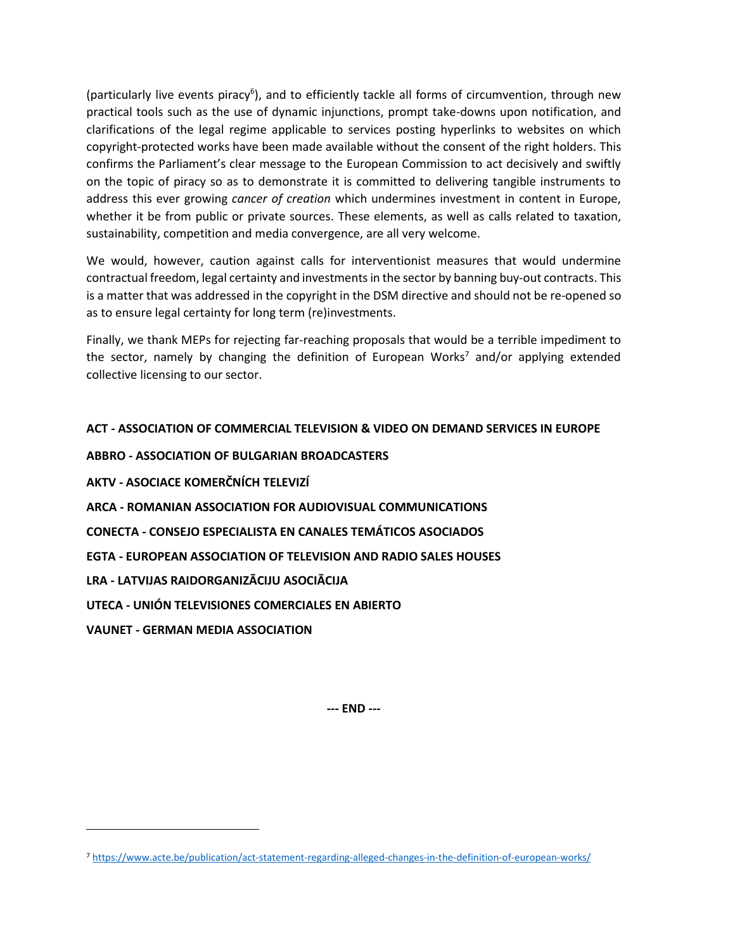(particularly live events piracy<sup>6</sup>), and to efficiently tackle all forms of circumvention, through new practical tools such as the use of dynamic injunctions, prompt take-downs upon notification, and clarifications of the legal regime applicable to services posting hyperlinks to websites on which copyright-protected works have been made available without the consent of the right holders. This confirms the Parliament's clear message to the European Commission to act decisively and swiftly on the topic of piracy so as to demonstrate it is committed to delivering tangible instruments to address this ever growing *cancer of creation* which undermines investment in content in Europe, whether it be from public or private sources. These elements, as well as calls related to taxation, sustainability, competition and media convergence, are all very welcome.

We would, however, caution against calls for interventionist measures that would undermine contractual freedom, legal certainty and investments in the sector by banning buy-out contracts. This is a matter that was addressed in the copyright in the DSM directive and should not be re-opened so as to ensure legal certainty for long term (re)investments.

Finally, we thank MEPs for rejecting far-reaching proposals that would be a terrible impediment to the sector, namely by changing the definition of European Works<sup>7</sup> and/or applying extended collective licensing to our sector.

# **ACT - ASSOCIATION OF COMMERCIAL TELEVISION & VIDEO ON DEMAND SERVICES IN EUROPE**

**ABBRO - ASSOCIATION OF BULGARIAN BROADCASTERS AKTV - ASOCIACE KOMERČNÍCH TELEVIZÍ ARCA - ROMANIAN ASSOCIATION FOR AUDIOVISUAL COMMUNICATIONS CONECTA - CONSEJO ESPECIALISTA EN CANALES TEMÁTICOS ASOCIADOS EGTA - EUROPEAN ASSOCIATION OF TELEVISION AND RADIO SALES HOUSES LRA - LATVIJAS RAIDORGANIZĀCIJU ASOCIĀCIJA UTECA - UNIÓN TELEVISIONES COMERCIALES EN ABIERTO VAUNET - GERMAN MEDIA ASSOCIATION** 

**--- END ---**

<sup>7</sup> <https://www.acte.be/publication/act-statement-regarding-alleged-changes-in-the-definition-of-european-works/>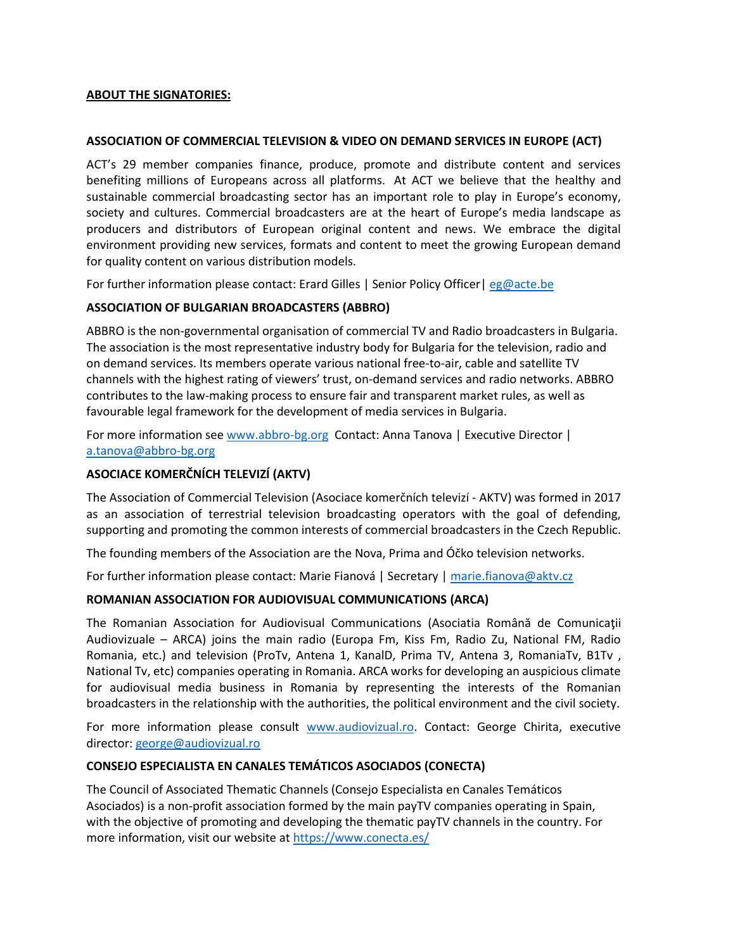## **ABOUT THE SIGNATORIES:**

#### **ASSOCIATION OF COMMERCIAL TELEVISION & VIDEO ON DEMAND SERVICES IN EUROPE (ACT)**

ACT's 29 member companies finance, produce, promote and distribute content and services benefiting millions of Europeans across all platforms. At ACT we believe that the healthy and sustainable commercial broadcasting sector has an important role to play in Europe's economy, society and cultures. Commercial broadcasters are at the heart of Europe's media landscape as producers and distributors of European original content and news. We embrace the digital environment providing new services, formats and content to meet the growing European demand for quality content on various distribution models.

For further information please contact: Erard Gilles | Senior Policy Officer| [eg@acte.be](mailto:eg@acte.be)

#### **ASSOCIATION OF BULGARIAN BROADCASTERS (ABBRO)**

ABBRO is the non-governmental organisation of commercial TV and Radio broadcasters in Bulgaria. The association is the most representative industry body for Bulgaria for the television, radio and on demand services. Its members operate various national free-to-air, cable and satellite TV channels with the highest rating of viewers' trust, on-demand services and radio networks. ABBRO contributes to the law-making process to ensure fair and transparent market rules, as well as favourable legal framework for the development of media services in Bulgaria.

For more information see [www.abbro-bg.org](http://www.abbro-bg.org/) Contact: Anna Tanova | Executive Director | [a.tanova@abbro-bg.org](mailto:a.tanova@abbro-bg.org)

### **ASOCIACE KOMERČNÍCH TELEVIZÍ (AKTV)**

The Association of Commercial Television (Asociace komerčních televizí - AKTV) was formed in 2017 as an association of terrestrial television broadcasting operators with the goal of defending, supporting and promoting the common interests of commercial broadcasters in the Czech Republic.

The founding members of the Association are the Nova, Prima and Óčko television networks.

For further information please contact: Marie Fianová | Secretary | [marie.fianova@aktv.cz](mailto:marie.fianova@aktv.cz)

#### **ROMANIAN ASSOCIATION FOR AUDIOVISUAL COMMUNICATIONS (ARCA)**

The Romanian Association for Audiovisual Communications (Asociatia Română de Comunicații Audiovizuale – ARCA) joins the main radio (Europa Fm, Kiss Fm, Radio Zu, National FM, Radio Romania, etc.) and television (ProTv, Antena 1, KanalD, Prima TV, Antena 3, RomaniaTv, B1Tv , National Tv, etc) companies operating in Romania. ARCA works for developing an auspicious climate for audiovisual media business in Romania by representing the interests of the Romanian broadcasters in the relationship with the authorities, the political environment and the civil society.

For more information please consult [www.audiovizual.ro.](http://www.audiovizual.ro/) Contact: George Chirita, executive director: [george@audiovizual.ro](mailto:george@audiovizual.ro)

## **CONSEJO ESPECIALISTA EN CANALES TEMÁTICOS ASOCIADOS (CONECTA)**

The Council of Associated Thematic Channels (Consejo Especialista en Canales Temáticos Asociados) is a non-profit association formed by the main payTV companies operating in Spain, with the objective of promoting and developing the thematic payTV channels in the country. For more information, visit our website at <https://www.conecta.es/>